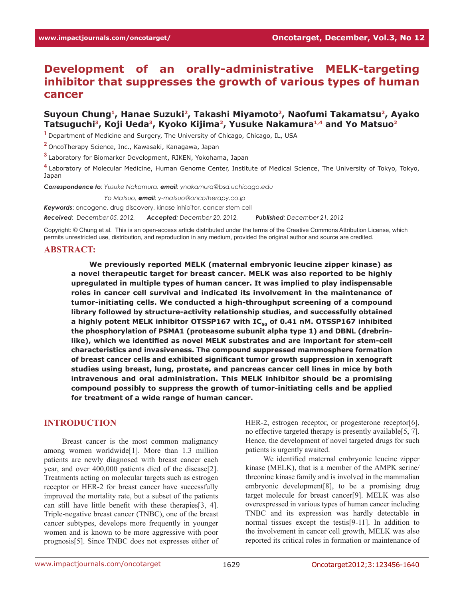# **Development of an orally-administrative MELK-targeting inhibitor that suppresses the growth of various types of human cancer**

# Suyoun Chung<sup>1</sup>, Hanae Suzuki<sup>2</sup>, Takashi Miyamoto<sup>2</sup>, Naofumi Takamatsu<sup>2</sup>, Ayako **Tatsuguchi3, Koji Ueda3, Kyoko Kijima2, Yusuke Nakamura1,4 and Yo Matsuo2**

**<sup>1</sup>**Department of Medicine and Surgery, The University of Chicago, Chicago, IL, USA

**<sup>2</sup>**OncoTherapy Science, Inc., Kawasaki, Kanagawa, Japan

**<sup>3</sup>**Laboratory for Biomarker Development, RIKEN, Yokohama, Japan

**<sup>4</sup>**Laboratory of Molecular Medicine, Human Genome Center, Institute of Medical Science, The University of Tokyo, Tokyo, Japan

*Correspondence to: Yusuke Nakamura, email: ynakamura@bsd.uchicago.edu* 

*Correspondence to: Yo Matsuo, email: y-matsuo@oncotherapy.co.jp*

*Keywords*: oncogene, drug discovery, kinase inhibitor, cancer stem cell *Received: December 05, 2012, Accepted: December 20, 2012, Published: December 21, 2012*

Copyright: © Chung et al. This is an open-access article distributed under the terms of the Creative Commons Attribution License, which permits unrestricted use, distribution, and reproduction in any medium, provided the original author and source are credited.

#### **ABSTRACT:**

**We previously reported MELK (maternal embryonic leucine zipper kinase) as a novel therapeutic target for breast cancer. MELK was also reported to be highly upregulated in multiple types of human cancer. It was implied to play indispensable roles in cancer cell survival and indicated its involvement in the maintenance of tumor-initiating cells. We conducted a high-throughput screening of a compound library followed by structure-activity relationship studies, and successfully obtained**  a highly potent MELK inhibitor OTSSP167 with IC<sub>50</sub> of 0.41 nM. OTSSP167 inhibited **the phosphorylation of PSMA1 (proteasome subunit alpha type 1) and DBNL (drebrinlike), which we identified as novel MELK substrates and are important for stem-cell characteristics and invasiveness. The compound suppressed mammosphere formation of breast cancer cells and exhibited significant tumor growth suppression in xenograft studies using breast, lung, prostate, and pancreas cancer cell lines in mice by both intravenous and oral administration. This MELK inhibitor should be a promising compound possibly to suppress the growth of tumor-initiating cells and be applied for treatment of a wide range of human cancer.** 

### **INTRODUCTION**

Breast cancer is the most common malignancy among women worldwide[1]. More than 1.3 million patients are newly diagnosed with breast cancer each year, and over 400,000 patients died of the disease[2]. Treatments acting on molecular targets such as estrogen receptor or HER-2 for breast cancer have successfully improved the mortality rate, but a subset of the patients can still have little benefit with these therapies[3, 4]. Triple-negative breast cancer (TNBC), one of the breast cancer subtypes, develops more frequently in younger women and is known to be more aggressive with poor prognosis[5]. Since TNBC does not expresses either of HER-2, estrogen receptor, or progesterone receptor[6], no effective targeted therapy is presently available[5, 7]. Hence, the development of novel targeted drugs for such patients is urgently awaited.

We identified maternal embryonic leucine zipper kinase (MELK), that is a member of the AMPK serine/ threonine kinase family and is involved in the mammalian embryonic development[8], to be a promising drug target molecule for breast cancer[9]. MELK was also overexpressed in various types of human cancer including TNBC and its expression was hardly detectable in normal tissues except the testis[9-11]. In addition to the involvement in cancer cell growth, MELK was also reported its critical roles in formation or maintenance of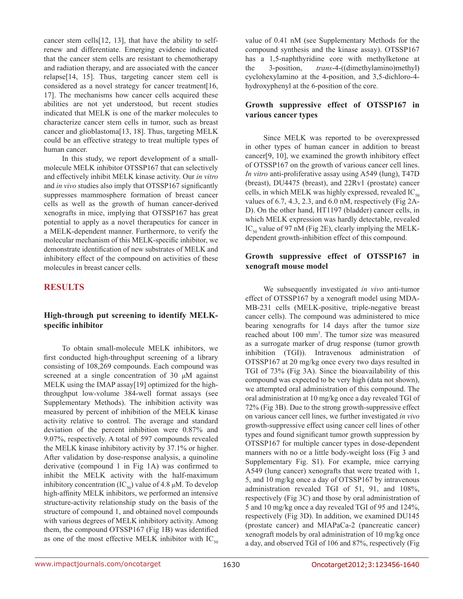cancer stem cells[12, 13], that have the ability to selfrenew and differentiate. Emerging evidence indicated that the cancer stem cells are resistant to chemotherapy and radiation therapy, and are associated with the cancer relapse[14, 15]. Thus, targeting cancer stem cell is considered as a novel strategy for cancer treatment[16, 17]. The mechanisms how cancer cells acquired these abilities are not yet understood, but recent studies indicated that MELK is one of the marker molecules to characterize cancer stem cells in tumor, such as breast cancer and glioblastoma[13, 18]. Thus, targeting MELK could be an effective strategy to treat multiple types of human cancer.

In this study, we report development of a smallmolecule MELK inhibitor OTSSP167 that can selectively and effectively inhibit MELK kinase activity. Our *in vitro* and *in vivo* studies also imply that OTSSP167 significantly suppresses mammosphere formation of breast cancer cells as well as the growth of human cancer-derived xenografts in mice, implying that OTSSP167 has great potential to apply as a novel therapeutics for cancer in a MELK-dependent manner. Furthermore, to verify the molecular mechanism of this MELK-specific inhibitor, we demonstrate identification of new substrates of MELK and inhibitory effect of the compound on activities of these molecules in breast cancer cells.

# **RESULTS**

### **High-through put screening to identify MELKspecific inhibitor**

To obtain small-molecule MELK inhibitors, we first conducted high-throughput screening of a library consisting of 108,269 compounds. Each compound was screened at a single concentration of 30 μM against MELK using the IMAP assay[19] optimized for the highthroughput low-volume 384-well format assays (see Supplementary Methods). The inhibition activity was measured by percent of inhibition of the MELK kinase activity relative to control. The average and standard deviation of the percent inhibition were 0.87% and 9.07%, respectively. A total of 597 compounds revealed the MELK kinase inhibitory activity by 37.1% or higher. After validation by dose-response analysis, a quinoline derivative (compound 1 in Fig 1A) was confirmed to inhibit the MELK activity with the half-maximum inhibitory concentration (IC<sub>50</sub>) value of 4.8 μM. To develop high-affinity MELK inhibitors, we performed an intensive structure-activity relationship study on the basis of the structure of compound 1, and obtained novel compounds with various degrees of MELK inhibitory activity. Among them, the compound OTSSP167 (Fig 1B) was identified as one of the most effective MELK inhibitor with  $IC_{50}$  value of 0.41 nM (see Supplementary Methods for the compound synthesis and the kinase assay). OTSSP167 has a 1,5-naphthyridine core with methylketone at the 3-position, *trans*-4-((dimethylamino)methyl) cyclohexylamino at the 4-position, and 3,5-dichloro-4 hydroxyphenyl at the 6-position of the core.

# **Growth suppressive effect of OTSSP167 in various cancer types**

Since MELK was reported to be overexpressed in other types of human cancer in addition to breast cancer[9, 10], we examined the growth inhibitory effect of OTSSP167 on the growth of various cancer cell lines. *In vitro* anti-proliferative assay using A549 (lung), T47D (breast), DU4475 (breast), and 22Rv1 (prostate) cancer cells, in which MELK was highly expressed, revealed  $IC_{50}$ values of 6.7, 4.3, 2.3, and 6.0 nM, respectively (Fig 2A-D). On the other hand, HT1197 (bladder) cancer cells, in which MELK expression was hardly detectable, revealed IC<sub>50</sub> value of 97 nM (Fig 2E), clearly implying the MELKdependent growth-inhibition effect of this compound.

# **Growth suppressive effect of OTSSP167 in xenograft mouse model**

We subsequently investigated *in vivo* anti-tumor effect of OTSSP167 by a xenograft model using MDA-MB-231 cells (MELK-positive, triple-negative breast cancer cells). The compound was administered to mice bearing xenografts for 14 days after the tumor size reached about 100 mm<sup>3</sup>. The tumor size was measured as a surrogate marker of drug response (tumor growth inhibition (TGI)). Intravenous administration of OTSSP167 at 20 mg/kg once every two days resulted in TGI of 73% (Fig 3A). Since the bioavailability of this compound was expected to be very high (data not shown), we attempted oral administration of this compound. The oral administration at 10 mg/kg once a day revealed TGI of 72% (Fig 3B). Due to the strong growth-suppressive effect on various cancer cell lines, we further investigated *in vivo* growth-suppressive effect using cancer cell lines of other types and found significant tumor growth suppression by OTSSP167 for multiple cancer types in dose-dependent manners with no or a little body-weight loss (Fig 3 and Supplementary Fig. S1). For example, mice carrying A549 (lung cancer) xenografts that were treated with 1, 5, and 10 mg/kg once a day of OTSSP167 by intravenous administration revealed TGI of 51, 91, and 108%, respectively (Fig 3C) and those by oral administration of 5 and 10 mg/kg once a day revealed TGI of 95 and 124%, respectively (Fig 3D). In addition, we examined DU145 (prostate cancer) and MIAPaCa-2 (pancreatic cancer) xenograft models by oral administration of 10 mg/kg once a day, and observed TGI of 106 and 87%, respectively (Fig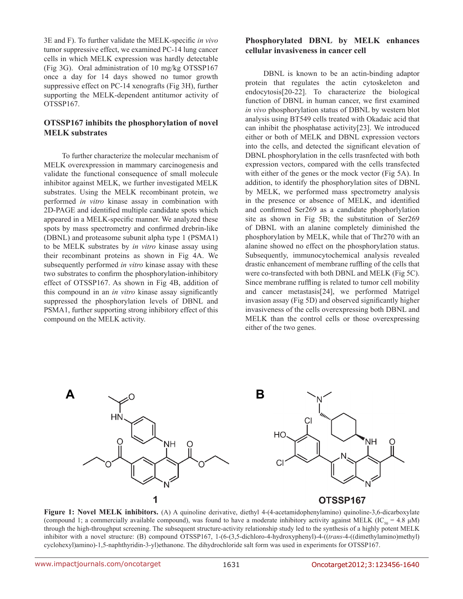3E and F). To further validate the MELK-specific *in vivo* tumor suppressive effect, we examined PC-14 lung cancer cells in which MELK expression was hardly detectable (Fig 3G). Oral administration of 10 mg/kg OTSSP167 once a day for 14 days showed no tumor growth suppressive effect on PC-14 xenografts (Fig 3H), further supporting the MELK-dependent antitumor activity of OTSSP167.

#### **OTSSP167 inhibits the phosphorylation of novel MELK substrates**

To further characterize the molecular mechanism of MELK overexpression in mammary carcinogenesis and validate the functional consequence of small molecule inhibitor against MELK, we further investigated MELK substrates. Using the MELK recombinant protein, we performed *in vitro* kinase assay in combination with 2D-PAGE and identified multiple candidate spots which appeared in a MELK-specific manner. We analyzed these spots by mass spectrometry and confirmed drebrin-like (DBNL) and proteasome subunit alpha type 1 (PSMA1) to be MELK substrates by *in vitro* kinase assay using their recombinant proteins as shown in Fig 4A. We subsequently performed *in vitro* kinase assay with these two substrates to confirm the phosphorylation-inhibitory effect of OTSSP167. As shown in Fig 4B, addition of this compound in an *in vitro* kinase assay significantly suppressed the phosphorylation levels of DBNL and PSMA1, further supporting strong inhibitory effect of this compound on the MELK activity.

### **Phosphorylated DBNL by MELK enhances cellular invasiveness in cancer cell**

DBNL is known to be an actin-binding adaptor protein that regulates the actin cytoskeleton and endocytosis[20-22]. To characterize the biological function of DBNL in human cancer, we first examined *in vivo* phosphorylation status of DBNL by western blot analysis using BT549 cells treated with Okadaic acid that can inhibit the phosphatase activity[23]. We introduced either or both of MELK and DBNL expression vectors into the cells, and detected the significant elevation of DBNL phosphorylation in the cells trasnfected with both expression vectors, compared with the cells transfected with either of the genes or the mock vector (Fig 5A). In addition, to identify the phosphorylation sites of DBNL by MELK, we performed mass spectrometry analysis in the presence or absence of MELK, and identified and confirmed Ser269 as a candidate phophorlylation site as shown in Fig 5B; the substitution of Ser269 of DBNL with an alanine completely diminished the phosphorylation by MELK, while that of Thr270 with an alanine showed no effect on the phosphorylation status. Subsequently, immunocytochemical analysis revealed drastic enhancement of membrane ruffling of the cells that were co-transfected with both DBNL and MELK (Fig 5C). Since membrane ruffling is related to tumor cell mobility and cancer metastasis[24], we performed Matrigel invasion assay (Fig 5D) and observed significantly higher invasiveness of the cells overexpressing both DBNL and MELK than the control cells or those overexpressing either of the two genes.



**Figure 1: Novel MELK inhibitors.** (A) A quinoline derivative, diethyl 4-(4-acetamidophenylamino) quinoline-3,6-dicarboxylate (compound 1; a commercially available compound), was found to have a moderate inhibitory activity against MELK (IC<sub>50</sub> = 4.8 µM) through the high-throughput screening. The subsequent structure-activity relationship study led to the synthesis of a highly potent MELK inhibitor with a novel structure: (B) compound OTSSP167, 1-(6-(3,5-dichloro-4-hydroxyphenyl)-4-((*trans*-4-((dimethylamino)methyl) cyclohexyl)amino)-1,5-naphthyridin-3-yl)ethanone. The dihydrochloride salt form was used in experiments for OTSSP167.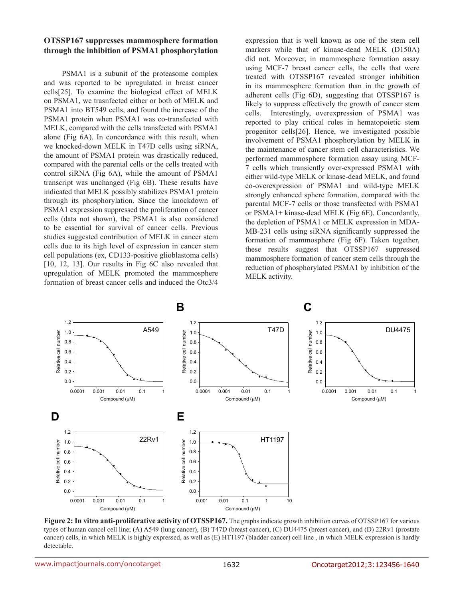### **OTSSP167 suppresses mammosphere formation through the inhibition of PSMA1 phosphorylation**

PSMA1 is a subunit of the proteasome complex and was reported to be upregulated in breast cancer cells[25]. To examine the biological effect of MELK on PSMA1, we trasnfected either or both of MELK and PSMA1 into BT549 cells, and found the increase of the PSMA1 protein when PSMA1 was co-transfected with MELK, compared with the cells transfected with PSMA1 alone (Fig 6A). In concordance with this result, when we knocked-down MELK in T47D cells using siRNA, the amount of PSMA1 protein was drastically reduced, compared with the parental cells or the cells treated with control siRNA (Fig 6A), while the amount of PSMA1 transcript was unchanged (Fig 6B). These results have indicated that MELK possibly stabilizes PSMA1 protein through its phosphorylation. Since the knockdown of PSMA1 expression suppressed the proliferation of cancer cells (data not shown), the PSMA1 is also considered to be essential for survival of cancer cells. Previous studies suggested contribution of MELK in cancer stem cells due to its high level of expression in cancer stem cell populations (ex, CD133-positive glioblastoma cells) [10, 12, 13]. Our results in Fig 6C also revealed that upregulation of MELK promoted the mammosphere formation of breast cancer cells and induced the Otc3/4

expression that is well known as one of the stem cell markers while that of kinase-dead MELK (D150A) did not. Moreover, in mammosphere formation assay using MCF-7 breast cancer cells, the cells that were treated with OTSSP167 revealed stronger inhibition in its mammosphere formation than in the growth of adherent cells (Fig 6D), suggesting that OTSSP167 is likely to suppress effectively the growth of cancer stem cells. Interestingly, overexpression of PSMA1 was reported to play critical roles in hematopoietic stem progenitor cells[26]. Hence, we investigated possible involvement of PSMA1 phosphorylation by MELK in the maintenance of cancer stem cell characteristics. We performed mammosphere formation assay using MCF-7 cells which transiently over-expressed PSMA1 with either wild-type MELK or kinase-dead MELK, and found co-overexpression of PSMA1 and wild-type MELK strongly enhanced sphere formation, compared with the parental MCF-7 cells or those transfected with PSMA1 or PSMA1+ kinase-dead MELK (Fig 6E). Concordantly, the depletion of PSMA1 or MELK expression in MDA-MB-231 cells using siRNA significantly suppressed the formation of mammosphere (Fig 6F). Taken together, these results suggest that OTSSP167 suppressed mammosphere formation of cancer stem cells through the reduction of phosphorylated PSMA1 by inhibition of the MELK activity.



**Figure 2: In vitro anti-proliferative activity of OTSSP167.** The graphs indicate growth inhibition curves of OTSSP167 for various types of human cancel cell line; (A) A549 (lung cancer), (B) T47D (breast cancer), (C) DU4475 (breast cancer), and (D) 22Rv1 (prostate cancer) cells, in which MELK is highly expressed, as well as (E) HT1197 (bladder cancer) cell line , in which MELK expression is hardly detectable.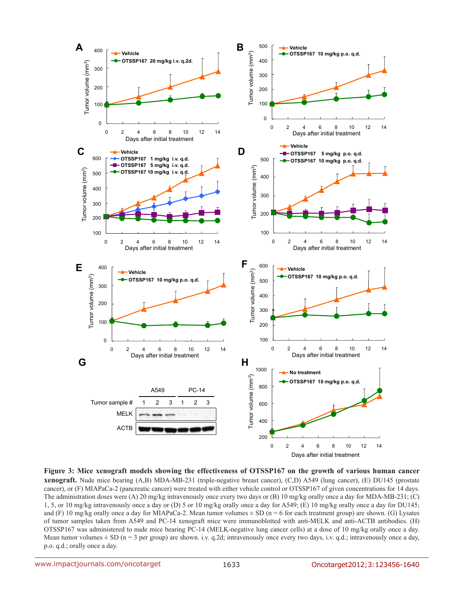

**Figure 3: Mice xenograft models showing the effectiveness of OTSSP167 on the growth of various human cancer xenograft.** Nude mice bearing (A,B) MDA-MB-231 (triple-negative breast cancer), (C,D) A549 (lung cancer), (E) DU145 (prostate cancer), or (F) MIAPaCa-2 (pancreatic cancer) were treated with either vehicle control or OTSSP167 of given concentrations for 14 days. The administration doses were (A) 20 mg/kg intravenously once every two days or (B) 10 mg/kg orally once a day for MDA-MB-231; (C) 1, 5, or 10 mg/kg intravenously once a day or (D) 5 or 10 mg/kg orally once a day for A549; (E) 10 mg/kg orally once a day for DU145; and (F) 10 mg/kg orally once a day for MIAPaCa-2. Mean tumor volumes  $\pm$  SD (n = 6 for each treatment group) are shown. (G) Lysates of tumor samples taken from A549 and PC-14 xenograft mice were immunoblotted with anti-MELK and anti-ACTB antibodies. (H) OTSSP167 was administered to nude mice bearing PC-14 (MELK-negative lung cancer cells) at a dose of 10 mg/kg orally once a day. Mean tumor volumes  $\pm$  SD (n = 3 per group) are shown. i.v. q.2d; intravenously once every two days, i.v. q.d.; intravenously once a day, p.o. q.d.; orally once a day.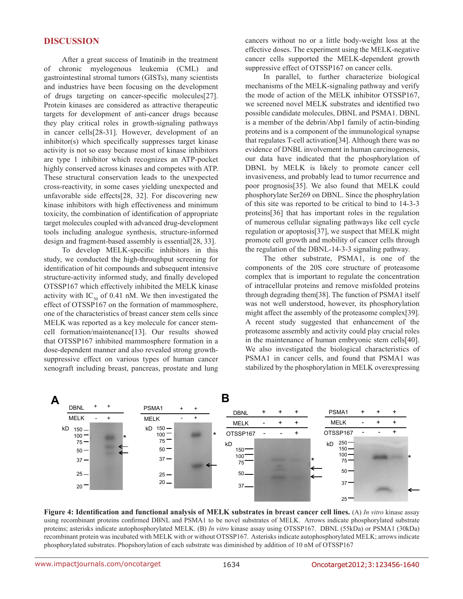#### **DISCUSSION**

After a great success of Imatinib in the treatment of chronic myelogenous leukemia (CML) and gastrointestinal stromal tumors (GISTs), many scientists and industries have been focusing on the development of drugs targeting on cancer-specific molecules[27]. Protein kinases are considered as attractive therapeutic targets for development of anti-cancer drugs because they play critical roles in growth-signaling pathways in cancer cells[28-31]. However, development of an inhibitor(s) which specifically suppresses target kinase activity is not so easy because most of kinase inhibitors are type 1 inhibitor which recognizes an ATP-pocket highly conserved across kinases and competes with ATP. These structural conservation leads to the unexpected cross-reactivity, in some cases yielding unexpected and unfavorable side effects[28, 32]. For discovering new kinase inhibitors with high effectiveness and minimum toxicity, the combination of identification of appropriate target molecules coupled with advanced drug-development tools including analogue synthesis, structure-informed design and fragment-based assembly is essential[28, 33].

To develop MELK-specific inhibitors in this study, we conducted the high-throughput screening for identification of hit compounds and subsequent intensive structure-activity informed study, and finally developed OTSSP167 which effectively inhibited the MELK kinase activity with IC<sub>50</sub> of 0.41 nM. We then investigated the effect of OTSSP167 on the formation of mammosphere, one of the characteristics of breast cancer stem cells since MELK was reported as a key molecule for cancer stemcell formation/maintenance[13]. Our results showed that OTSSP167 inhibited mammosphere formation in a dose-dependent manner and also revealed strong growthsuppressive effect on various types of human cancer xenograft including breast, pancreas, prostate and lung cancers without no or a little body-weight loss at the effective doses. The experiment using the MELK-negative cancer cells supported the MELK-dependent growth suppressive effect of OTSSP167 on cancer cells.

In parallel, to further characterize biological mechanisms of the MELK-signaling pathway and verify the mode of action of the MELK inhibitor OTSSP167, we screened novel MELK substrates and identified two possible candidate molecules, DBNL and PSMA1. DBNL is a member of the debrin/Abp1 family of actin-binding proteins and is a component of the immunological synapse that regulates T-cell activation[34]. Although there was no evidence of DNBL involvement in human carcinogenesis, our data have indicated that the phosphorylation of DBNL by MELK is likely to promote cancer cell invasiveness, and probably lead to tumor recurrence and poor prognosis[35]. We also found that MELK could phosphorylate Ser269 on DBNL. Since the phosphrylation of this site was reported to be critical to bind to 14-3-3 proteins[36] that has important roles in the regulation of numerous cellular signaling pathways like cell cycle regulation or apoptosis[37], we suspect that MELK might promote cell growth and mobility of cancer cells through the regulation of the DBNL-14-3-3 signaling pathway.

The other substrate, PSMA1, is one of the components of the 20S core structure of proteasome complex that is important to regulate the concentration of intracellular proteins and remove misfolded proteins through degrading them[38]. The function of PSMA1 itself was not well understood, however, its phosphorylation might affect the assembly of the proteasome complex[39]. A recent study suggested that enhancement of the proteasome assembly and activity could play crucial roles in the maintenance of human embryonic stem cells[40]. We also investigated the biological characteristics of PSMA1 in cancer cells, and found that PSMA1 was stabilized by the phosphorylation in MELK overexpressing



**Figure 4: Identification and functional analysis of MELK substrates in breast cancer cell lines.** (A) *In vitro* kinase assay using recombinant proteins confirmed DBNL and PSMA1 to be novel substrates of MELK. Arrows indicate phosphorylated substrate proteins; asterisks indicate autophosphorylated MELK. (B) *In vitro* kinase assay using OTSSP167. DBNL (55kDa) or PSMA1 (30kDa) recombinant protein was incubated with MELK with or without OTSSP167. Asterisks indicate autophosphorylated MELK; arrows indicate phosphorylated substrates. Phopshorylation of each substrate was diminished by addition of 10 nM of OTSSP167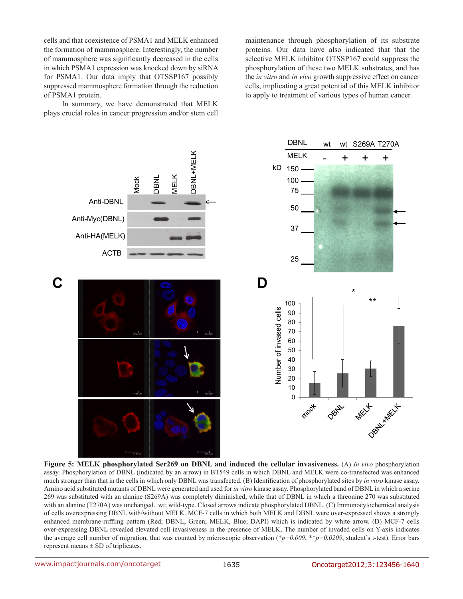cells and that coexistence of PSMA1 and MELK enhanced the formation of mammosphere. Interestingly, the number of mammosphere was significantly decreased in the cells in which PSMA1 expression was knocked down by siRNA for PSMA1. Our data imply that OTSSP167 possibly suppressed mammosphere formation through the reduction of PSMA1 protein.

In summary, we have demonstrated that MELK plays crucial roles in cancer progression and/or stem cell maintenance through phosphorylation of its substrate proteins. Our data have also indicated that that the selective MELK inhibitor OTSSP167 could suppress the phosphorylation of these two MELK substrates, and has the *in vitro* and *in vivo* growth suppressive effect on cancer cells, implicating a great potential of this MELK inhibitor to apply to treatment of various types of human cancer.



**Figure 5: MELK phosphorylated Ser269 on DBNL and induced the cellular invasiveness.** (A) *In vivo* phosphorylation assay. Phosphorylation of DBNL (indicated by an arrow) in BT549 cells in which DBNL and MELK were co-transfected was enhanced much stronger than that in the cells in which only DBNL was transfected. (B) Identification of phosphorylated sites by *in vitro* kinase assay. Amino acid substituted mutants of DBNL were generated and used for *in vitro* kinase assay. Phosphorylated band of DBNL in which a serine 269 was substituted with an alanine (S269A) was completely diminished, while that of DBNL in which a threonine 270 was substituted with an alanine (T270A) was unchanged. wt; wild-type. Closed arrows indicate phosphorylated DBNL. (C) Immunocytochemical analysis of cells overexpressing DBNL with/without MELK. MCF-7 cells in which both MELK and DBNL were over-expressed shows a strongly enhanced membrane-ruffling pattern (Red; DBNL, Green; MELK, Blue; DAPI) which is indicated by white arrow. (D) MCF-7 cells over-expressing DBNL revealed elevated cell invasiveness in the presence of MELK. The number of invaded cells on Y-axis indicates the average cell number of migration, that was counted by microscopic observation (\**p=0.009*, \*\**p=0.0209*, student's t-test). Error bars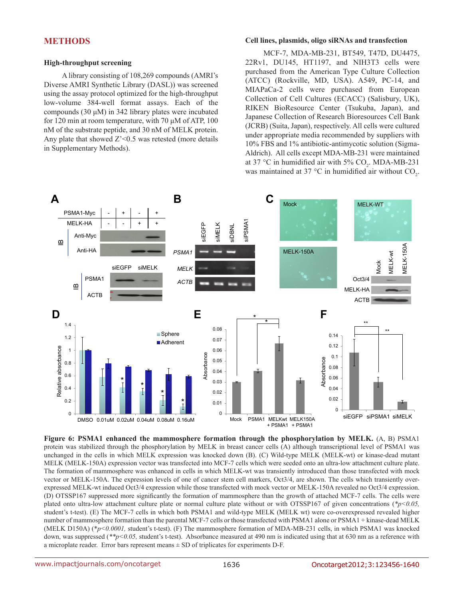# **METHODS**

#### **High-throughput screening**

A library consisting of 108,269 compounds (AMRI's Diverse AMRI Synthetic Library (DASL)) was screened using the assay protocol optimized for the high-throughput low-volume 384-well format assays. Each of the compounds (30 μM) in 342 library plates were incubated for 120 min at room temperature, with 70 μM of ATP, 100 nM of the substrate peptide, and 30 nM of MELK protein. Any plate that showed  $Z' < 0.5$  was retested (more details in Supplementary Methods).

#### **Cell lines, plasmids, oligo siRNAs and transfection**

MCF-7, MDA-MB-231, BT549, T47D, DU4475, 22Rv1, DU145, HT1197, and NIH3T3 cells were purchased from the American Type Culture Collection (ATCC) (Rockville, MD, USA). A549, PC-14, and MIAPaCa-2 cells were purchased from European Collection of Cell Cultures (ECACC) (Salisbury, UK), RIKEN BioResource Center (Tsukuba, Japan), and Japanese Collection of Research Bioresources Cell Bank (JCRB) (Suita, Japan), respectively. All cells were cultured under appropriate media recommended by suppliers with 10% FBS and 1% antibiotic-antimycotic solution (Sigma-Aldrich). All cells except MDA-MB-231 were maintained at 37 °C in humidified air with 5%  $CO_2$ . MDA-MB-231 was maintained at 37 °C in humidified air without  $CO_2$ .



**Figure 6: PSMA1 enhanced the mammosphere formation through the phosphorylation by MELK.** (A, B) PSMA1 protein was stabilized through the phosphorylation by MELK in breast cancer cells (A) although transcriptional level of PSMA1 was unchanged in the cells in which MELK expression was knocked down (B). (C) Wild-type MELK (MELK-wt) or kinase-dead mutant MELK (MELK-150A) expression vector was transfected into MCF-7 cells which were seeded onto an ultra-low attachment culture plate. The formation of mammosphere was enhanced in cells in which MELK-wt was transiently introduced than those transfected with mock vector or MELK-150A. The expression levels of one of cancer stem cell markers, Oct3/4, are shown. The cells which transiently overexpressed MELK-wt induced Oct3/4 expression while those transfected with mock vector or MELK-150A revealed no Oct3/4 expression. (D) OTSSP167 suppressed more significantly the formation of mammosphere than the growth of attached MCF-7 cells. The cells were plated onto ultra-low attachment culture plate or normal culture plate without or with OTSSP167 of given concentrations (*\*p<0.05,*  student's t-test). (E) The MCF-7 cells in which both PSMA1 and wild-type MELK (MELK wt) were co-overexpressed revealed higher number of mammosphere formation than the parental MCF-7 cells or those transfected with PSMA1 alone or PSMA1 + kinase-dead MELK (MELK D150A) (\**p<0.0001,* student's t-test). (F) The mammosphere formation of MDA-MB-231 cells, in which PSMA1 was knocked down, was suppressed (\*\*p<0.05, student's t-test). Absorbance measured at 490 nm is indicated using that at 630 nm as a reference with a microplate reader. Error bars represent means ± SD of triplicates for experiments D-F.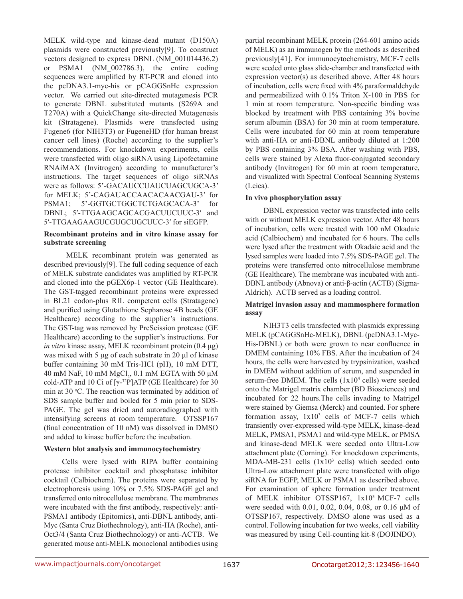MELK wild-type and kinase-dead mutant (D150A) plasmids were constructed previously[9]. To construct vectors designed to express DBNL (NM\_001014436.2) or PSMA1 (NM\_002786.3), the entire coding sequences were amplified by RT-PCR and cloned into the pcDNA3.1-myc-his or pCAGGSnHc expression vector. We carried out site-directed mutagenesis PCR to generate DBNL substituted mutants (S269A and T270A) with a QuickChange site-directed Mutagenesis kit (Stratagene). Plasmids were transfected using Fugene6 (for NIH3T3) or FugeneHD (for human breast cancer cell lines) (Roche) according to the supplier's recommendations. For knockdown experiments, cells were transfected with oligo siRNA using Lipofectamine RNAiMAX (Invitrogen) according to manufacturer's instructions. The target sequences of oligo siRNAs were as follows: 5'-GACAUCCUAUCUAGCUGCA-3' for MELK; 5'-CAGAUACCAACACAACGAU-3' for PSMA1; 5'-GGTGCTGGCTCTGAGCACA-3' for DBNL; 5′-TTGAAGCAGCACGACUUCUUC-3′ and 5′-TTGAAGAAGUCGUGCUGCUUC-3′ for siEGFP.

#### **Recombinant proteins and in vitro kinase assay for substrate screening**

 MELK recombinant protein was generated as described previously[9]. The full coding sequence of each of MELK substrate candidates was amplified by RT-PCR and cloned into the pGEX6p-1 vector (GE Healthcare). The GST-tagged recombinant proteins were expressed in BL21 codon-plus RIL competent cells (Stratagene) and purified using Glutathione Sepharose 4B beads (GE Healthcare) according to the supplier's instructions. The GST-tag was removed by PreScission protease (GE Healthcare) according to the supplier's instructions. For *in vitro* kinase assay, MELK recombinant protein (0.4 μg) was mixed with 5 μg of each substrate in 20 μl of kinase buffer containing 30 mM Tris-HCl (pH), 10 mM DTT, 40 mM NaF, 10 mM  $MgCl<sub>2</sub>$ , 0.1 mM EGTA with 50 μM cold-ATP and 10 Ci of  $[\gamma^{-32}P]$ ATP (GE Healthcare) for 30 min at 30  $\degree$ C. The reaction was terminated by addition of SDS sample buffer and boiled for 5 min prior to SDS-PAGE. The gel was dried and autoradiographed with intensifying screens at room temperature. OTSSP167 (final concentration of 10 nM) was dissolved in DMSO and added to kinase buffer before the incubation.

#### **Western blot analysis and immunocytochemistry**

Cells were lysed with RIPA buffer containing protease inhibitor cocktail and phosphatase inhibitor cocktail (Calbiochem). The proteins were separated by electrophoresis using 10% or 7.5% SDS-PAGE gel and transferred onto nitrocellulose membrane. The membranes were incubated with the first antibody, respectively: anti-PSMA1 antibody (Epitomics), anti-DBNL antibody, anti-Myc (Santa Cruz Biothechnology), anti-HA (Roche), anti-Oct3/4 (Santa Cruz Biothechnology) or anti-ACTB. We generated mouse anti-MELK monoclonal antibodies using partial recombinant MELK protein (264-601 amino acids of MELK) as an immunogen by the methods as described previously[41]. For immunocytochemistry, MCF-7 cells were seeded onto glass slide-chamber and transfected with expression vector(s) as described above. After 48 hours of incubation, cells were fixed with 4% paraformaldehyde and permeabilized with 0.1% Triton X-100 in PBS for 1 min at room temperature. Non-specific binding was blocked by treatment with PBS containing 3% bovine serum albumin (BSA) for 30 min at room temperature. Cells were incubated for 60 min at room temperature with anti-HA or anti-DBNL antibody diluted at 1:200 by PBS containing 3% BSA. After washing with PBS, cells were stained by Alexa fluor-conjugated secondary antibody (Invitrogen) for 60 min at room temperature, and visualized with Spectral Confocal Scanning Systems (Leica).

#### **In vivo phosphorylation assay**

DBNL expression vector was transfected into cells with or without MELK expression vector. After 48 hours of incubation, cells were treated with 100 nM Okadaic acid (Calbiochem) and incubated for 6 hours. The cells were lysed after the treatment with Okadaic acid and the lysed samples were loaded into 7.5% SDS-PAGE gel. The proteins were transferred onto nitrocellulose membrane (GE Healthcare). The membrane was incubated with anti-DBNL antibody (Abnova) or anti-β-actin (ACTB) (Sigma-Aldrich). ACTB served as a loading control.

#### **Matrigel invasion assay and mammosphere formation assay**

NIH3T3 cells transfected with plasmids expressing MELK (pCAGGSnHc-MELK), DBNL (pcDNA3.1-Myc-His-DBNL) or both were grown to near confluence in DMEM containing 10% FBS. After the incubation of 24 hours, the cells were harvested by trypsinization, washed in DMEM without addition of serum, and suspended in serum-free DMEM. The cells  $(1x10<sup>4</sup>$  cells) were seeded onto the Matrigel matrix chamber (BD Biosciences) and incubated for 22 hours.The cells invading to Matrigel were stained by Giemsa (Merck) and counted. For sphere formation assay,  $1x10^3$  cells of MCF-7 cells which transiently over-expressed wild-type MELK, kinase-dead MELK, PMSA1, PSMA1 and wild-type MELK, or PMSA and kinase-dead MELK were seeded onto Ultra-Low attachment plate (Corning). For knockdown experiments,  $MDA-MB-231$  cells  $(1x10<sup>3</sup>$  cells) which seeded onto Ultra-Low attachment plate were transfected with oligo siRNA for EGFP, MELK or PSMA1 as described above. For examination of sphere formation under treatment of MELK inhibitor OTSSP167, 1x103 MCF-7 cells were seeded with 0.01, 0.02, 0.04, 0.08, or 0.16 μM of OTSSP167, respectively. DMSO alone was used as a control. Following incubation for two weeks, cell viability was measured by using Cell-counting kit-8 (DOJINDO).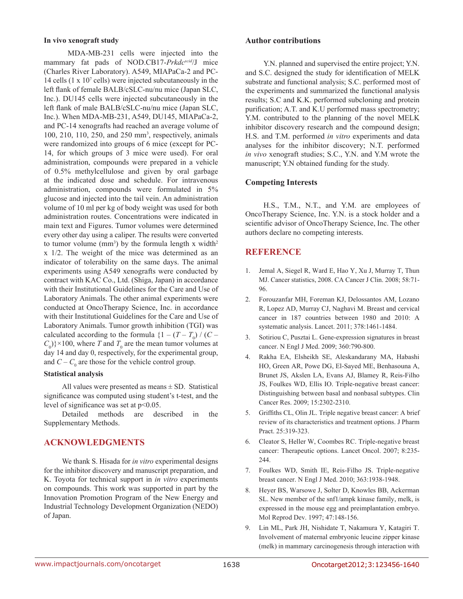#### **In vivo xenograft study**

 MDA-MB-231 cells were injected into the mammary fat pads of NOD.CB17-*Prkdcscid*/J mice (Charles River Laboratory). A549, MIAPaCa-2 and PC-14 cells (1 x 107 cells) were injected subcutaneously in the left flank of female BALB/cSLC-nu/nu mice (Japan SLC, Inc.). DU145 cells were injected subcutaneously in the left flank of male BALB/cSLC-nu/nu mice (Japan SLC, Inc.). When MDA-MB-231, A549, DU145, MIAPaCa-2, and PC-14 xenografts had reached an average volume of 100, 210, 110, 250, and 250 mm3 , respectively, animals were randomized into groups of 6 mice (except for PC-14, for which groups of 3 mice were used). For oral administration, compounds were prepared in a vehicle of 0.5% methylcellulose and given by oral garbage at the indicated dose and schedule. For intravenous administration, compounds were formulated in 5% glucose and injected into the tail vein. An administration volume of 10 ml per kg of body weight was used for both administration routes. Concentrations were indicated in main text and Figures. Tumor volumes were determined every other day using a caliper. The results were converted to tumor volume  $(mm<sup>3</sup>)$  by the formula length x width<sup>2</sup> x 1/2. The weight of the mice was determined as an indicator of tolerability on the same days. The animal experiments using A549 xenografts were conducted by contract with KAC Co., Ltd. (Shiga, Japan) in accordance with their Institutional Guidelines for the Care and Use of Laboratory Animals. The other animal experiments were conducted at OncoTherapy Science, Inc. in accordance with their Institutional Guidelines for the Care and Use of Laboratory Animals. Tumor growth inhibition (TGI) was calculated according to the formula  $\{1 - (T - T_0) / (C - T_0)\}$  $(C_0)$ <sup>2</sup> × 100, where *T* and  $T_0$  are the mean tumor volumes at day 14 and day 0, respectively, for the experimental group, and  $C - C_0$  are those for the vehicle control group.

#### **Statistical analysis**

All values were presented as means  $\pm$  SD. Statistical significance was computed using student's t-test, and the level of significance was set at  $p<0.05$ .

Detailed methods are described in the Supplementary Methods.

# **ACKNOWLEDGMENTS**

We thank S. Hisada for *in vitro* experimental designs for the inhibitor discovery and manuscript preparation, and K. Toyota for technical support in *in vitro* experiments on compounds. This work was supported in part by the Innovation Promotion Program of the New Energy and Industrial Technology Development Organization (NEDO) of Japan.

#### **Author contributions**

Y.N. planned and supervised the entire project; Y.N. and S.C. designed the study for identification of MELK substrate and functional analysis; S.C. performed most of the experiments and summarized the functional analysis results; S.C and K.K. performed subcloning and protein purification; A.T. and K.U performed mass spectrometry; Y.M. contributed to the planning of the novel MELK inhibitor discovery research and the compound design; H.S. and T.M. performed *in vitro* experiments and data analyses for the inhibitor discovery; N.T. performed *in vivo* xenograft studies; S.C., Y.N. and Y.M wrote the manuscript; Y.N obtained funding for the study.

#### **Competing Interests**

H.S., T.M., N.T., and Y.M. are employees of OncoTherapy Science, Inc. Y.N. is a stock holder and a scientific advisor of OncoTherapy Science, Inc. The other authors declare no competing interests.

# **REFERENCE**

- 1. Jemal A, Siegel R, Ward E, Hao Y, Xu J, Murray T, Thun MJ. Cancer statistics, 2008. CA Cancer J Clin. 2008; 58:71- 96.
- 2. Forouzanfar MH, Foreman KJ, Delossantos AM, Lozano R, Lopez AD, Murray CJ, Naghavi M. Breast and cervical cancer in 187 countries between 1980 and 2010: A systematic analysis. Lancet. 2011; 378:1461-1484.
- 3. Sotiriou C, Pusztai L. Gene-expression signatures in breast cancer. N Engl J Med. 2009; 360:790-800.
- 4. Rakha EA, Elsheikh SE, Aleskandarany MA, Habashi HO, Green AR, Powe DG, El-Sayed ME, Benhasouna A, Brunet JS, Akslen LA, Evans AJ, Blamey R, Reis-Filho JS, Foulkes WD, Ellis IO. Triple-negative breast cancer: Distinguishing between basal and nonbasal subtypes. Clin Cancer Res. 2009; 15:2302-2310.
- 5. Griffiths CL, Olin JL. Triple negative breast cancer: A brief review of its characteristics and treatment options. J Pharm Pract. 25:319-323.
- 6. Cleator S, Heller W, Coombes RC. Triple-negative breast cancer: Therapeutic options. Lancet Oncol. 2007; 8:235- 244.
- 7. Foulkes WD, Smith IE, Reis-Filho JS. Triple-negative breast cancer. N Engl J Med. 2010; 363:1938-1948.
- 8. Heyer BS, Warsowe J, Solter D, Knowles BB, Ackerman SL. New member of the snf1/ampk kinase family, melk, is expressed in the mouse egg and preimplantation embryo. Mol Reprod Dev. 1997; 47:148-156.
- 9. Lin ML, Park JH, Nishidate T, Nakamura Y, Katagiri T. Involvement of maternal embryonic leucine zipper kinase (melk) in mammary carcinogenesis through interaction with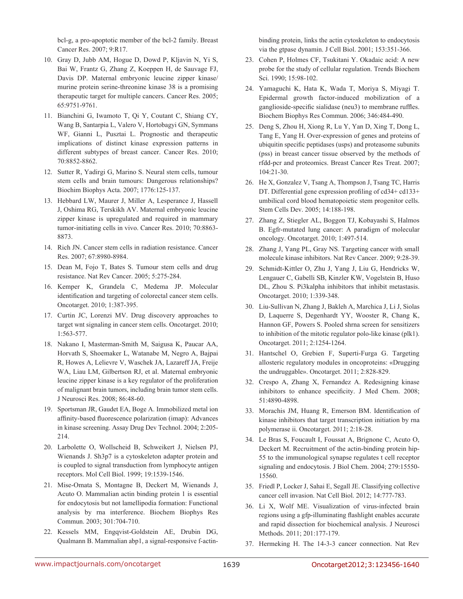bcl-g, a pro-apoptotic member of the bcl-2 family. Breast Cancer Res. 2007; 9:R17.

- 10. Gray D, Jubb AM, Hogue D, Dowd P, Kljavin N, Yi S, Bai W, Frantz G, Zhang Z, Koeppen H, de Sauvage FJ, Davis DP. Maternal embryonic leucine zipper kinase/ murine protein serine-threonine kinase 38 is a promising therapeutic target for multiple cancers. Cancer Res. 2005; 65:9751-9761.
- 11. Bianchini G, Iwamoto T, Qi Y, Coutant C, Shiang CY, Wang B, Santarpia L, Valero V, Hortobagyi GN, Symmans WF, Gianni L, Pusztai L. Prognostic and therapeutic implications of distinct kinase expression patterns in different subtypes of breast cancer. Cancer Res. 2010; 70:8852-8862.
- 12. Sutter R, Yadirgi G, Marino S. Neural stem cells, tumour stem cells and brain tumours: Dangerous relationships? Biochim Biophys Acta. 2007; 1776:125-137.
- 13. Hebbard LW, Maurer J, Miller A, Lesperance J, Hassell J, Oshima RG, Terskikh AV. Maternal embryonic leucine zipper kinase is upregulated and required in mammary tumor-initiating cells in vivo. Cancer Res. 2010; 70:8863- 8873.
- 14. Rich JN. Cancer stem cells in radiation resistance. Cancer Res. 2007; 67:8980-8984.
- 15. Dean M, Fojo T, Bates S. Tumour stem cells and drug resistance. Nat Rev Cancer. 2005; 5:275-284.
- 16. Kemper K, Grandela C, Medema JP. Molecular identification and targeting of colorectal cancer stem cells. Oncotarget. 2010; 1:387-395.
- 17. Curtin JC, Lorenzi MV. Drug discovery approaches to target wnt signaling in cancer stem cells. Oncotarget. 2010; 1:563-577.
- 18. Nakano I, Masterman-Smith M, Saigusa K, Paucar AA, Horvath S, Shoemaker L, Watanabe M, Negro A, Bajpai R, Howes A, Lelievre V, Waschek JA, Lazareff JA, Freije WA, Liau LM, Gilbertson RJ, et al. Maternal embryonic leucine zipper kinase is a key regulator of the proliferation of malignant brain tumors, including brain tumor stem cells. J Neurosci Res. 2008; 86:48-60.
- 19. Sportsman JR, Gaudet EA, Boge A. Immobilized metal ion affinity-based fluorescence polarization (imap): Advances in kinase screening. Assay Drug Dev Technol. 2004; 2:205- 214.
- 20. Larbolette O, Wollscheid B, Schweikert J, Nielsen PJ, Wienands J. Sh3p7 is a cytoskeleton adapter protein and is coupled to signal transduction from lymphocyte antigen receptors. Mol Cell Biol. 1999; 19:1539-1546.
- 21. Mise-Omata S, Montagne B, Deckert M, Wienands J, Acuto O. Mammalian actin binding protein 1 is essential for endocytosis but not lamellipodia formation: Functional analysis by rna interference. Biochem Biophys Res Commun. 2003; 301:704-710.
- 22. Kessels MM, Engqvist-Goldstein AE, Drubin DG, Qualmann B. Mammalian abp1, a signal-responsive f-actin-

binding protein, links the actin cytoskeleton to endocytosis via the gtpase dynamin. J Cell Biol. 2001; 153:351-366.

- 23. Cohen P, Holmes CF, Tsukitani Y. Okadaic acid: A new probe for the study of cellular regulation. Trends Biochem Sci. 1990; 15:98-102.
- 24. Yamaguchi K, Hata K, Wada T, Moriya S, Miyagi T. Epidermal growth factor-induced mobilization of a ganglioside-specific sialidase (neu3) to membrane ruffles. Biochem Biophys Res Commun. 2006; 346:484-490.
- 25. Deng S, Zhou H, Xiong R, Lu Y, Yan D, Xing T, Dong L, Tang E, Yang H. Over-expression of genes and proteins of ubiquitin specific peptidases (usps) and proteasome subunits (pss) in breast cancer tissue observed by the methods of rfdd-pcr and proteomics. Breast Cancer Res Treat. 2007; 104:21-30.
- 26. He X, Gonzalez V, Tsang A, Thompson J, Tsang TC, Harris DT. Differential gene expression profiling of cd34+ cd133+ umbilical cord blood hematopoietic stem progenitor cells. Stem Cells Dev. 2005; 14:188-198.
- 27. Zhang Z, Stiegler AL, Boggon TJ, Kobayashi S, Halmos B. Egfr-mutated lung cancer: A paradigm of molecular oncology. Oncotarget. 2010; 1:497-514.
- 28. Zhang J, Yang PL, Gray NS. Targeting cancer with small molecule kinase inhibitors. Nat Rev Cancer. 2009; 9:28-39.
- 29. Schmidt-Kittler O, Zhu J, Yang J, Liu G, Hendricks W, Lengauer C, Gabelli SB, Kinzler KW, Vogelstein B, Huso DL, Zhou S. Pi3kalpha inhibitors that inhibit metastasis. Oncotarget. 2010; 1:339-348.
- 30. Liu-Sullivan N, Zhang J, Bakleh A, Marchica J, Li J, Siolas D, Laquerre S, Degenhardt YY, Wooster R, Chang K, Hannon GF, Powers S. Pooled shrna screen for sensitizers to inhibition of the mitotic regulator polo-like kinase (plk1). Oncotarget. 2011; 2:1254-1264.
- 31. Hantschel O, Grebien F, Superti-Furga G. Targeting allosteric regulatory modules in oncoproteins: «Drugging the undruggable». Oncotarget. 2011; 2:828-829.
- 32. Crespo A, Zhang X, Fernandez A. Redesigning kinase inhibitors to enhance specificity. J Med Chem. 2008; 51:4890-4898.
- 33. Morachis JM, Huang R, Emerson BM. Identification of kinase inhibitors that target transcription initiation by rna polymerase ii. Oncotarget. 2011; 2:18-28.
- 34. Le Bras S, Foucault I, Foussat A, Brignone C, Acuto O, Deckert M. Recruitment of the actin-binding protein hip-55 to the immunological synapse regulates t cell receptor signaling and endocytosis. J Biol Chem. 2004; 279:15550- 15560.
- 35. Friedl P, Locker J, Sahai E, Segall JE. Classifying collective cancer cell invasion. Nat Cell Biol. 2012; 14:777-783.
- 36. Li X, Wolf ME. Visualization of virus-infected brain regions using a gfp-illuminating flashlight enables accurate and rapid dissection for biochemical analysis. J Neurosci Methods. 2011; 201:177-179.
- 37. Hermeking H. The 14-3-3 cancer connection. Nat Rev